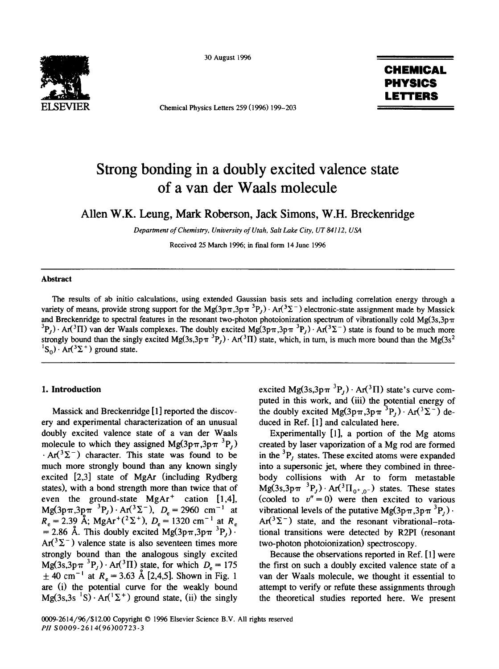

Chemical Physics Letters 259 (1996) 199-203

## 30 August 1996 **CHEMICAL PHYSICS LETTERS**

# **Strong bonding in a doubly excited valence state of a van der Waals molecule**

Allen W.K. Leung, Mark Roberson, Jack Simons, W.H. Breckenridge

*Department of Chemistry, University of Utah, Salt Lake City, UT84112, USA* 

Received 25 March 1996; in final form 14 June 1996

## **Abstract**

The results of ab initio calculations, using extended Gaussian basis sets and including correlation energy through a variety of means, provide strong support for the Mg(3p $\pi$ ,3p $\pi$ <sup>3</sup>P<sub>r</sub>). Ar(<sup>3</sup> $\Sigma$ <sup>-</sup>) electronic-state assignment made by Massick and Breckenridge to spectral features in the resonant two-photon photoionization spectrum of vibrationally cold Mg(3s,3p $\pi$  ${}^{3}P_{1}$ ) · Ar( ${}^{3}T$ ) van der Waals complexes. The doubly excited Mg( $3p\pi,3p\pi$   ${}^{3}P_{1}$ ) · Ar( ${}^{3}\Sigma^{-}$ ) state is found to be much more strongly bound than the singly excited Mg(3s,3p $\pi$ <sup>3</sup>P<sub>i</sub>). Ar(<sup>3</sup>II) state, which, in turn, is much more bound than the Mg(3s<sup>2</sup>  ${}^{1}S_{0}$ ). Ar( ${}^{3}\Sigma^{+}$ ) ground state.

ery and experimental characterization of an unusual duced in Ref. [1] and calculated here. doubly excited valence state of a van der Waals Experimentally [1], a portion of the Mg atoms molecule to which they assigned Mg( $3p\pi,3p\pi$ <sup>3</sup>P<sub>i</sub>) created by laser vaporization of a Mg rod are formed  $\cdot$  Ar( $3\Sigma$ <sup>-</sup>) character. This state was found to be in the  $3P_i$  states. These excited atoms were expanded much more strongly bound than any known singly into a supersonic jet, where they combined in threeexcited [2,3] state of MgAr (including Rydberg body collisions with Ar to form metastable states), with a bond strength more than twice that of Mg(3s,3p $\pi$ <sup>3</sup>P<sub>i</sub>). Ar(<sup>3</sup> $\Pi$ <sub>0+0</sub>-) states. These states even the ground-state MgAr<sup>+</sup> cation [1,4], (cooled to  $v'' = 0$ ) were then excited to various  $Mg(3p\pi,3p\pi^{-3}P_J)\cdot Ar(^{3}\Sigma^{-})$ ,  $D_e = 2960 \text{ cm}^{-1}$  at vibrational levels of the putative  $Mg(3p\pi,3p\pi^{-3}P_J)\cdot$  $R_e = 2.39$  A; MgAr<sup>+(2</sup> $\geq$ <sup>+</sup>),  $D_e = 1320$  cm<sup>-1</sup> at  $R_e$  Ar(<sup>3</sup> $\geq$ <sup>-</sup>) state, and the resonant vibrational-rota-= 2.86 Å. This doubly excited Mg(3p $\pi$ ,3p $\pi$ <sup>3</sup>P<sub>t</sub>). tional transitions were detected by R2PI (resonant  $Ar(^{3}\Sigma^{-})$  valence state is also seventeen times more two-photon photoionization) spectroscopy. strongly bound than the analogous singly excited Because the observations reported in Ref. [1] were Mg(3s,3p $\pi$ <sup>3</sup>P<sub>j</sub>). Ar(<sup>3</sup>H) state, for which  $D_e = 175$  the first on such a doubly excited valence state of a  $\pm$  40 cm<sup>-1</sup> at  $R_e = 3.63$  Å [2,4,5]. Shown in Fig. 1 van der Waals molecule, we thought it essential to are (i) the potential curve for the weakly bound attempt to verify or refute these assignments through Mg(3s,3s <sup>1</sup>S)  $\cdot$  Ar(<sup>1</sup> $\Sigma$ <sup>+</sup>) ground state, (ii) the singly the theoretical studies reported here. We present

0009-2614/96/\$12.00 Copyright © 1996 Elsevier Science B.V. All fights reserved

1. Introduction excited Mg(3s,3p $\pi$ <sup>3</sup>P<sub>j</sub>) · Ar(<sup>3</sup>II) state's curve computed in this work, and (iii) the potential energy of Massick and Breckenridge [1] reported the discov- the doubly excited Mg( $3p\pi$ , $3p\pi$ <sup>3</sup>P<sub>j</sub>)  $\cdot$  Ar( $3\Sigma^-$ ) de-

van der Waals molecule, we thought it essential to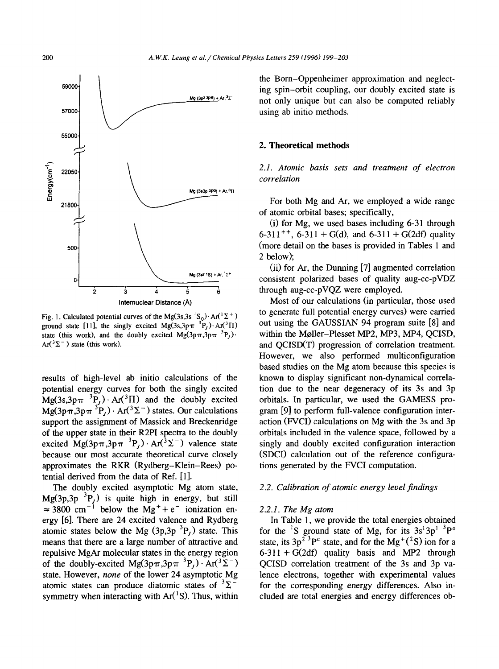

ground state [11], the singly excited Mg(3s,3p $\pi$ <sup>3</sup>P<sub>t</sub>)</sub>. And <sup>3</sup>II)

potential energy curves for both the singly excited tion due to the near degeneracy of its 3s and 3p  $Mg(3s,3p\pi^{-3}P_1)\cdot Ar(^{3}\Pi)$  and the doubly excited orbitals. In particular, we used the GAMESS pro- $Mg(3p\pi,3p\pi~^3P_1)\cdot Ar(^3\Sigma^-)$  states. Our calculations gram [9] to perform full-valence configuration intersupport the assignment of Massick and Breckenridge action (FVCI) calculations on Mg with the 3s and 3p of the upper state in their R2PI spectra to the doubly orbitals included in the valence space, followed by a excited Mg(3p $\pi$ ,3p $\pi$ <sup>3</sup>P<sub>i</sub>). Ar(<sup>3</sup> $\Sigma$ <sup>-</sup>) valence state singly and doubly excited configuration interaction because our most accurate theoretical curve closely (SDCI) calculation out of the reference configuraapproximates the RKR (Rydberg-Klein-Rees) po- tions generated by the FVCI computation. tential derived from the data of Ref. [1].

The doubly excited asymptotic Mg atom state, *2.2. Calibration of atomic energy levelfindings*   $Mg(3p,3p^{-3}P_1)$  is quite high in energy, but still  $\approx$  3800 cm<sup>-1</sup> below the Mg<sup>+</sup>+e<sup>-</sup> ionization en- *2.2.1. The Mg atom* ergy [6]. There are 24 excited valence and Rydberg In Table 1, we provide the total energies obtained

the Bom-Oppenheimer approximation and neglect-59000 ing spin-orbit coupling, our doubly excited state is not only unique but can also be computed reliably

### .~ **2. Theoretical methods**

*-~ ~ correlation* 

 $\frac{1}{1800}$  For both Mg and Ar, we employed a wide range of atomic orbital bases; specifically,

 $(i)$  for Mg, we used bases including 6-31 through 6-311<sup>++</sup>, 6-311 + G(d), and 6-311 + G(2df) quality 500  $\sim$  (more detail on the bases is provided in Tables 1 and 2 below);

> (ii) for Ar, the Dunning [7] augmented correlation  $\frac{M_9(342.15) + A\frac{1}{2}t}{\frac{1}{2} + \frac{1}{2}t}$  consistent polarized bases of quality aug-cc-pVDZ  $\frac{1}{3}$   $\frac{1}{4}$   $\frac{1}{5}$   $\frac{1}{6}$  through aug-cc-pVQZ were employed.

Internuclear Distance (A) Most of our calculations (in particular, those used Fig. 1. Calculated potential curves of the Mg(3s,3s  $^1S_0$ ). Ar( $^1\Sigma^+$ ) to generate full potential energy curves) were carried<br>ground state [11], the singly excited Mg(3s,3s  $^1S_0$ ). Ar( $^3\Pi$ ) out using the GAUSSIAN state (this work), and the doubly excited  $Mg(3p\pi,3p\pi^{-3}P_f)$ . within the Møller-Plesset MP2, MP3, MP4, QCISD,  $Ar^{3}\Sigma^{-}$ ) state (this work). and QCISD(T) progression of correlation treatment. However, we also performed multiconfiguration based studies on the Mg atom because this species is results of high-level ab initio calculations of the known to display significant non-dynamical correla-

atomic states below the Mg (3p,3p  ${}^{3}P_J$ ) state. This for the <sup>1</sup>S ground state of Mg, for its 3s<sup>1</sup>3p<sup>1</sup>  ${}^{3}P^{\circ}$ means that there are a large number of attractive and state, its  $3p^{2}$ <sup>3</sup>P<sup>e</sup> state, and for the Mg<sup>+(2</sup>S) ion for a repulsive MgAr molecular states in the energy region  $6-311 + G(2df)$  quality basis and MP2 through of the doubly-excited Mg(3p $\pi$ ,3p $\pi$ <sup>3</sup>P<sub>i</sub>). Ar(<sup>3</sup> $\Sigma$ <sup>-</sup>) QCISD correlation treatment of the 3s and 3p vastate. However, *none* of the lower 24 asymptotic Mg lence electrons, together with experimental values atomic states can produce diatomic states of  ${}^{3}\Sigma^{-}$  for the corresponding energy differences. Also infor the corresponding energy differences. Also insymmetry when interacting with  $Ar(^{1}S)$ . Thus, within cluded are total energies and energy differences ob-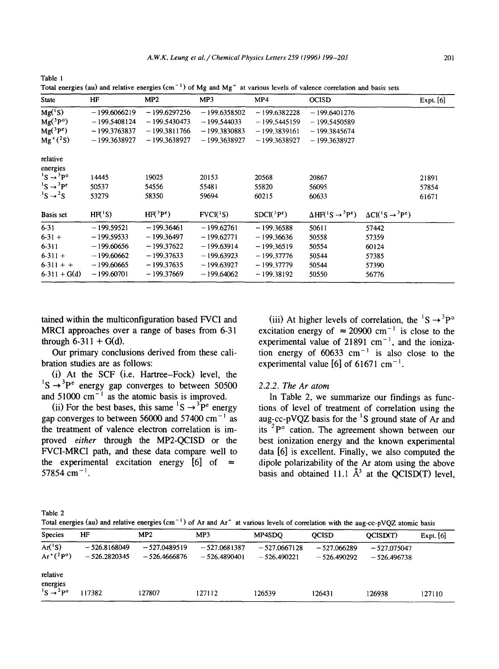| State                             | HF                  | MP2                            | MP3             | MP4            | <b>OCISD</b>                                  |                                    | Expt. [6] |
|-----------------------------------|---------------------|--------------------------------|-----------------|----------------|-----------------------------------------------|------------------------------------|-----------|
| $Mg({}^{1}S)$                     | $-199,6066219$      | $-199,6297256$                 | $-199.6358502$  | $-199.6382228$ | $-199.6401276$                                |                                    |           |
| $Mg(^3P^o)$                       | $-199.5408124$      | $-199.5430473$                 | $-199.544033$   | $-199.5445159$ | $-199.5450589$                                |                                    |           |
| $Mg(^3P^e)$                       | $-199.3763837$      | $-199.3811766$                 | $-199.3830883$  | $-199.3839161$ | $-199.3845674$                                |                                    |           |
| $Mg^{+}(^{2}S)$                   | $-199.3638927$      | $-199.3638927$                 | $-199.3638927$  | $-199.3638927$ | $-199,3638927$                                |                                    |           |
| relative                          |                     |                                |                 |                |                                               |                                    |           |
| energies                          |                     |                                |                 |                |                                               |                                    |           |
| ${}^{1}S \rightarrow {}^{3}P^{o}$ | 14445               | 19025                          | 20153           | 20568          | 20867                                         |                                    | 21891     |
| $^1S \rightarrow ^3P^c$           | 50537               | 54556                          | 55481           | 55820          | 56095                                         |                                    | 57854     |
| $^1S \rightarrow ^2S$             | 53279               | 58350                          | 59694           | 60215          | 60633                                         |                                    | 61671     |
| Basis set                         | HF <sup>(1</sup> S) | HF <sup>3</sup> P <sup>e</sup> | $FVCI({}^{1}S)$ | $SDCI(^3Pe)$   | $\Delta H F({}^{1}S \rightarrow {}^{3}P^{e})$ | $\Delta CI(^1S \rightarrow ^3P^e)$ |           |
| $6-31$                            | $-199.59521$        | $-199.36461$                   | $-199.62761$    | $-199.36588$   | 50611                                         | 57442                              |           |
| $6 - 31 +$                        | $-199.59533$        | $-199.36497$                   | $-199.62771$    | $-199.36636$   | 50558                                         | 57359                              |           |
| $6 - 311$                         | $-199.60656$        | $-199,37622$                   | $-199.63914$    | $-199.36519$   | 50554                                         | 60124                              |           |
| $6-311 +$                         | $-199.60662$        | $-199.37633$                   | $-199.63923$    | $-199.37776$   | 50544                                         | 57385                              |           |
| $6-311 + +$                       | $-199,60665$        | $-199.37635$                   | $-199.63927$    | $-199.37779$   | 50544                                         | 57390                              |           |
| $6-311 + G(d)$                    | $-199,60701$        | $-199.37669$                   | $-199.64062$    | $-199.38192$   | 50550                                         | 56776                              |           |

Total energies (au) and relative energies (cm<sup>-1</sup>) of Mg and Mg<sup>+</sup> at various levels of valence correlation and basis sets

tained within the multiconfiguration based FVCI and (iii) At higher levels of correlation, the  ${}^{1}S \rightarrow {}^{3}P^{\circ}$ MRCI approaches over a range of bases from 6-31 excitation energy of  $\approx 20900 \text{ cm}^{-1}$  is close to the through 6-311 + G(d).  $\epsilon$  experimental value of 21891 cm<sup>-1</sup>, and the ioniza-

bration studies are as follows: experimental value  $[6]$  of 61671 cm<sup>-1</sup>.

(i) At the SCF (i.e. Hartree-Fock) level, the  $1^1$ S  $\rightarrow$  <sup>3</sup>P<sup>e</sup> energy gap converges to between 50500 2.2.2. The Ar atom and  $51000 \text{ cm}^{-1}$  as the atomic basis is improved. In Table 2, we summarize our findings as func-

Our primary conclusions derived from these cali- tion energy of  $60633 \text{ cm}^{-1}$  is also close to the

(ii) For the best bases, this same  ${}^{1}S \rightarrow {}^{3}P^{e}$  energy tions of level of treatment of correlation using the gap converges to between 56000 and 57400 cm<sup>-1</sup> as aug-cc-pVQZ basis for the <sup>1</sup>S ground state of Ar and the treatment of valence electron correlation is im-<br>its  ${}^{2}P^{\circ}$  cation. The agreement shown between our proved *either* through the MP2-QCISD or the best ionization energy and the known experimental FVCI-MRCI path, and these data compare well to data [6] is excellent. Finally, we also computed the the experimental excitation energy  $[6]$  of  $\approx$  dipole polarizability of the Ar atom using the above 57854 cm<sup>-1</sup>. basis and obtained 11.1  $\AA^3$  at the OCISD(T) level,

Table 2

Table 1

Total energies (au) and relative energies (cm<sup>-1</sup>) of Ar and Ar<sup>+</sup> at various levels of correlation with the aug-cc-pVOZ atomic basis

| <b>Species</b>                                            | HF                               | MP2                              | MP3                              | MP4SDO                          | <b>OCISD</b>                   | OCISD(T)                       | Expt. $[6]$ |
|-----------------------------------------------------------|----------------------------------|----------------------------------|----------------------------------|---------------------------------|--------------------------------|--------------------------------|-------------|
| $Ar^{1}S$<br>$Ar^{+}(^{2}P^{o})$                          | $-526.8168049$<br>$-526.2820345$ | $-527.0489519$<br>$-526.4666876$ | $-527.0681387$<br>$-526.4890401$ | $-527.0667128$<br>$-526.490221$ | $-527.066289$<br>$-526.490292$ | $-527.075047$<br>$-526.496738$ |             |
| relative<br>energies<br>${}^{1}S \rightarrow {}^{2}P^{o}$ | 117382                           | 127807                           | 127112                           | 126539                          | 126431                         | 126938                         | 127110      |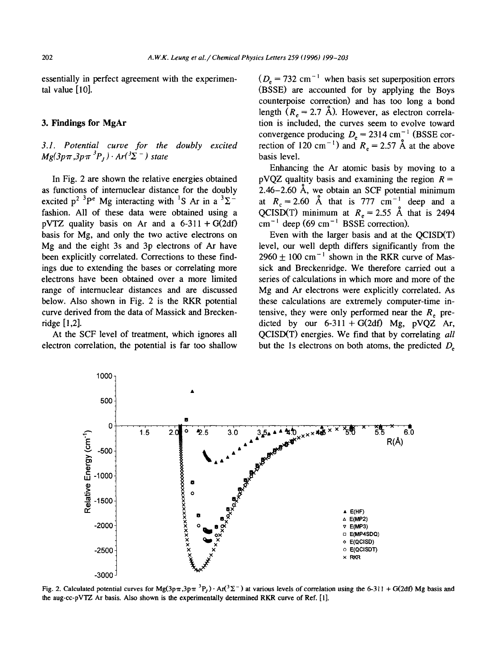essentially in perfect agreement with the experimen-  $(D_e = 732 \text{ cm}^{-1}$  when basis set superposition errors

 $Mg(3p\pi,3p\pi^3P_1)\cdot Ar(3\Sigma^-)$  state basis level.

pVTZ quality basis on Ar and a  $6-311 + G(2df)$ basis for Mg, and only the two active electrons on Even with the larger basis and at the QCISD(T)

electron correlation, the potential is far too shallow but the Is electrons on both atoms, the predicted  $D<sub>e</sub>$ 

tal value [10]. (BSSE) are accounted for by applying the Boys counterpoise correction) and has too long a bond length ( $R_e = 2.7$  Å). However, as electron correla-3. Findings for MgAr tion is included, the curves seem to evolve toward convergence producing  $D_e = 2314$  cm<sup>-1</sup> (BSSE cor-*3.1. Potential curve for the doubly excited* rection of 120 cm<sup>-1</sup>) and  $R_e = 2.57$  A at the above

Enhancing the Ar atomic basis by moving to a In Fig. 2 are shown the relative energies obtained pVQZ quality basis and examining the region  $R =$ as functions of internuclear distance for the doubly 2.46–2.60 Å, we obtain an SCF potential minimum excited  $p^2$ <sup>3</sup>P<sup>e</sup> Mg interacting with <sup>1</sup>S Ar in a <sup>3</sup> $\Sigma$ <sup>-</sup> at  $R_c = 2.60$  Å that is 777 cm<sup>-1</sup> deep and a at  $R_c = 2.60$  Å that is 777 cm<sup>-1</sup> deep and a fashion. All of these data were obtained using a QCISD(T) minimum at  $R_e = 2.55$  Å that is 2494 pVTZ quality basis on Ar and a 6-311 + G(2df) cm<sup>-1</sup> deep (69 cm<sup>-1</sup> BSSE correction).

Mg and the eight 3s and 3p electrons of Ar have level, our well depth differs significantly from the been explicitly correlated. Corrections to these find- $2960 \pm 100$  cm<sup>-1</sup> shown in the RKR curve of Masings due to extending the bases or correlating more sick and Breckenridge. We therefore carried out a electrons have been obtained over a more limited series of calculations in which more and more of the range of internuclear distances and are discussed Mg and Ar electrons were explicitly correlated. As below. Also shown in Fig. 2 is the RKR potential these calculations are extremely computer-time incurve derived from the data of Massick and Brecken- tensive, they were only performed near the  $R<sub>z</sub>$  preridge  $[1,2]$ . dieted by our 6-311 + G(2df) Mg, pVQZ Ar, At the SCF level of treatment, which ignores all QCISD(T) energies. We find that by correlating *all* 



Fig. 2. Calculated potential curves for Mg(3p $\pi$ ,3p $\pi$ <sup>3</sup>P<sub>1</sub>). And  $2\pi$ <sup>2</sup> at various levels of correlation using the 6-311 + G(2df) Mg basis and the aug-cc-pVTZ Ar basis. Also shown is the experimentally determined RKR curve of Ref. [1].